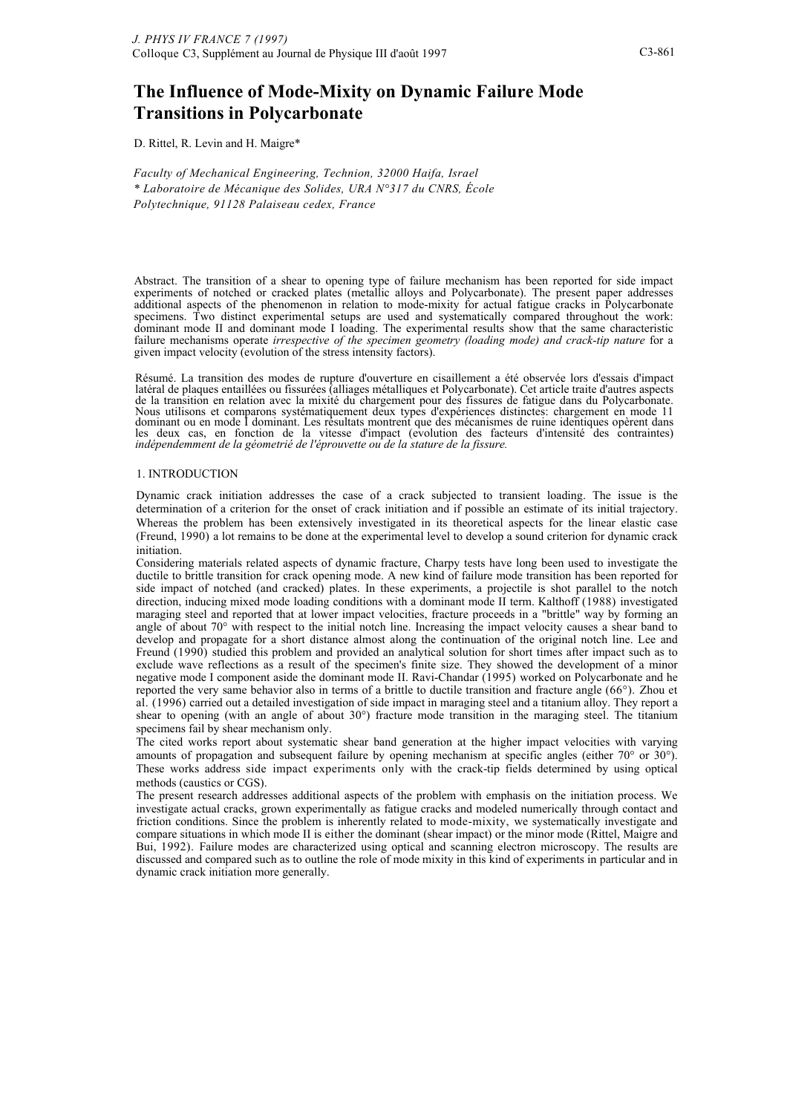# **The Influence of Mode-Mixity on Dynamic Failure Mode Transitions in Polycarbonate**

D. Rittel, R. Levin and H. Maigre\*

*Faculty of Mechanical Engineering, Technion, 32000 Haifa, Israel \* Laboratoire de Mécanique des Solides, URA N°317 du CNRS, École Polytechnique, 91128 Palaiseau cedex, France*

Abstract. The transition of a shear to opening type of failure mechanism has been reported for side impact experiments of notched or cracked plates (metallic alloys and Polycarbonate). The present paper addresses additional aspects of the phenomenon in relation to mode-mixity for actual fatigue cracks in Polycarbonate specimens. Two distinct experimental setups are used and systematically compared throughout the work: dominant mode II and dominant mode I loading. The experimental results show that the same characteristic failure mechanisms operate *irrespective of the specimen geometry (loading mode) and crack-tip nature* for a given impact velocity (evolution of the stress intensity factors).

Résumé. La transition des modes de rupture d'ouverture en cisaillement a été observée lors d'essais d'impact latéral de plaques entaillées ou fissurées (alliages métalliques et Polycarbonate). Cet article traite d'autres aspects de la transition en relation avec la mixité du chargement pour des fissures de fatigue dans du Polycarbonate. Nous utilisons et comparons systématiquement deux types d'expériences distinctes: chargement en mode 11 dominant ou en mode I dominant. Les résultats montrent que des mécanismes de ruine identiques opèrent dans les deux cas, en fonction de la vitesse d'impact (evolution des facteurs d'intensité des contraintes) *indépendemment de la géometrié de l'éprouvette ou de la stature de la fissure.*

#### 1. INTRODUCTION

Dynamic crack initiation addresses the case of a crack subjected to transient loading. The issue is the determination of a criterion for the onset of crack initiation and if possible an estimate of its initial trajectory. Whereas the problem has been extensively investigated in its theoretical aspects for the linear elastic case (Freund, 1990) a lot remains to be done at the experimental level to develop a sound criterion for dynamic crack initiation.

Considering materials related aspects of dynamic fracture, Charpy tests have long been used to investigate the ductile to brittle transition for crack opening mode. A new kind of failure mode transition has been reported for side impact of notched (and cracked) plates. In these experiments, a projectile is shot parallel to the notch direction, inducing mixed mode loading conditions with a dominant mode II term. Kalthoff (1988) investigated maraging steel and reported that at lower impact velocities, fracture proceeds in a "brittle" way by forming an angle of about 70° with respect to the initial notch line. Increasing the impact velocity causes a shear band to develop and propagate for a short distance almost along the continuation of the original notch line. Lee and Freund (1990) studied this problem and provided an analytical solution for short times after impact such as to exclude wave reflections as a result of the specimen's finite size. They showed the development of a minor negative mode I component aside the dominant mode II. Ravi-Chandar (1995) worked on Polycarbonate and he reported the very same behavior also in terms of a brittle to ductile transition and fracture angle (66°). Zhou et al. (1996) carried out a detailed investigation of side impact in maraging steel and a titanium alloy. They report a shear to opening (with an angle of about 30°) fracture mode transition in the maraging steel. The titanium specimens fail by shear mechanism only.

The cited works report about systematic shear band generation at the higher impact velocities with varying amounts of propagation and subsequent failure by opening mechanism at specific angles (either 70° or 30°). These works address side impact experiments only with the crack-tip fields determined by using optical methods (caustics or CGS).

The present research addresses additional aspects of the problem with emphasis on the initiation process. We investigate actual cracks, grown experimentally as fatigue cracks and modeled numerically through contact and friction conditions. Since the problem is inherently related to mode-mixity, we systematically investigate and compare situations in which mode II is either the dominant (shear impact) or the minor mode (Rittel, Maigre and Bui, 1992). Failure modes are characterized using optical and scanning electron microscopy. The results are discussed and compared such as to outline the role of mode mixity in this kind of experiments in particular and in dynamic crack initiation more generally.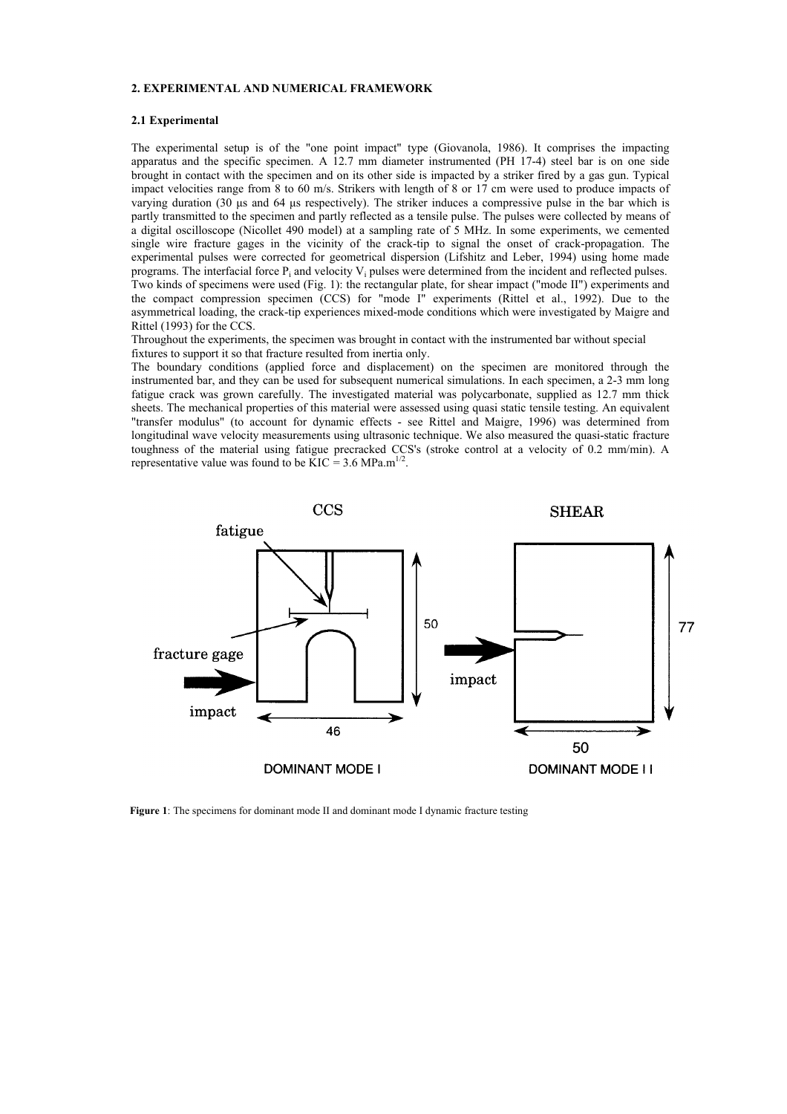#### **2. EXPERIMENTAL AND NUMERICAL FRAMEWORK**

# **2.1 Experimental**

The experimental setup is of the "one point impact" type (Giovanola, 1986). It comprises the impacting apparatus and the specific specimen. A 12.7 mm diameter instrumented (PH 17-4) steel bar is on one side brought in contact with the specimen and on its other side is impacted by a striker fired by a gas gun. Typical impact velocities range from 8 to 60 m/s. Strikers with length of 8 or 17 cm were used to produce impacts of varying duration (30 µs and 64 µs respectively). The striker induces a compressive pulse in the bar which is partly transmitted to the specimen and partly reflected as a tensile pulse. The pulses were collected by means of a digital oscilloscope (Nicollet 490 model) at a sampling rate of 5 MHz. In some experiments, we cemented single wire fracture gages in the vicinity of the crack-tip to signal the onset of crack-propagation. The experimental pulses were corrected for geometrical dispersion (Lifshitz and Leber, 1994) using home made programs. The interfacial force Pi and velocity Vi pulses were determined from the incident and reflected pulses. Two kinds of specimens were used (Fig. 1): the rectangular plate, for shear impact ("mode II") experiments and the compact compression specimen (CCS) for "mode I" experiments (Rittel et al., 1992). Due to the asymmetrical loading, the crack-tip experiences mixed-mode conditions which were investigated by Maigre and Rittel (1993) for the CCS.

Throughout the experiments, the specimen was brought in contact with the instrumented bar without special fixtures to support it so that fracture resulted from inertia only.

The boundary conditions (applied force and displacement) on the specimen are monitored through the instrumented bar, and they can be used for subsequent numerical simulations. In each specimen, a 2-3 mm long fatigue crack was grown carefully. The investigated material was polycarbonate, supplied as 12.7 mm thick sheets. The mechanical properties of this material were assessed using quasi static tensile testing. An equivalent "transfer modulus" (to account for dynamic effects - see Rittel and Maigre, 1996) was determined from longitudinal wave velocity measurements using ultrasonic technique. We also measured the quasi-static fracture toughness of the material using fatigue precracked CCS's (stroke control at a velocity of 0.2 mm/min). A representative value was found to be  $\angle KIC = 3.6 \text{ MPa.m}^{1/2}$ .



**Figure 1**: The specimens for dominant mode II and dominant mode I dynamic fracture testing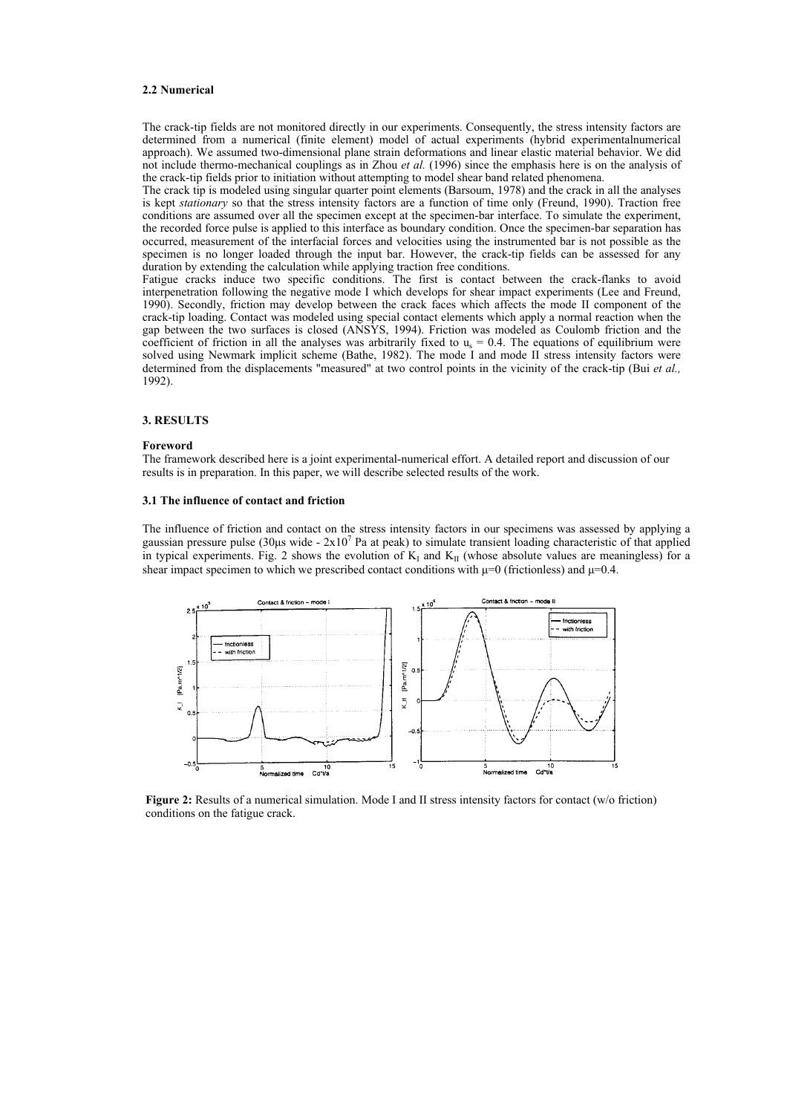# **2.2 Numerical**

The crack-tip fields are not monitored directly in our experiments. Consequently, the stress intensity factors are determined from a numerical (finite element) model of actual experiments (hybrid experimentalnumerical approach). We assumed two-dimensional plane strain deformations and linear elastic material behavior. We did not include thermo-mechanical couplings as in Zhou *et al.* (1996) since the emphasis here is on the analysis of the crack-tip fields prior to initiation without attempting to model shear band related phenomena.

The crack tip is modeled using singular quarter point elements (Barsoum, 1978) and the crack in all the analyses is kept *stationary* so that the stress intensity factors are a function of time only (Freund, 1990). Traction free conditions are assumed over all the specimen except at the specimen-bar interface. To simulate the experiment, the recorded force pulse is applied to this interface as boundary condition. Once the specimen-bar separation has occurred, measurement of the interfacial forces and velocities using the instrumented bar is not possible as the specimen is no longer loaded through the input bar. However, the crack-tip fields can be assessed for any duration by extending the calculation while applying traction free conditions.

Fatigue cracks induce two specific conditions. The first is contact between the crack-flanks to avoid interpenetration following the negative mode I which develops for shear impact experiments (Lee and Freund, 1990). Secondly, friction may develop between the crack faces which affects the mode II component of the crack-tip loading. Contact was modeled using special contact elements which apply a normal reaction when the gap between the two surfaces is closed (ANSYS, 1994). Friction was modeled as Coulomb friction and the coefficient of friction in all the analyses was arbitrarily fixed to  $u_s = 0.4$ . The equations of equilibrium were solved using Newmark implicit scheme (Bathe, 1982). The mode I and mode II stress intensity factors were determined from the displacements "measured" at two control points in the vicinity of the crack-tip (Bui *et al.,*  1992).

# **3. RESULTS**

#### **Foreword**

The framework described here is a joint experimental-numerical effort. A detailed report and discussion of our results is in preparation. In this paper, we will describe selected results of the work.

## **3.1 The influence of contact and friction**

The influence of friction and contact on the stress intensity factors in our specimens was assessed by applying a gaussian pressure pulse (30 $\mu$ s wide - 2x10<sup>7</sup> Pa at peak) to simulate transient loading characteristic of that applied in typical experiments. Fig. 2 shows the evolution of  $K_I$  and  $K_{II}$  (whose absolute values are meaningless) for a shear impact specimen to which we prescribed contact conditions with  $\mu$ =0 (frictionless) and  $\mu$ =0.4.



**Figure 2:** Results of a numerical simulation. Mode I and II stress intensity factors for contact (w/o friction) conditions on the fatigue crack.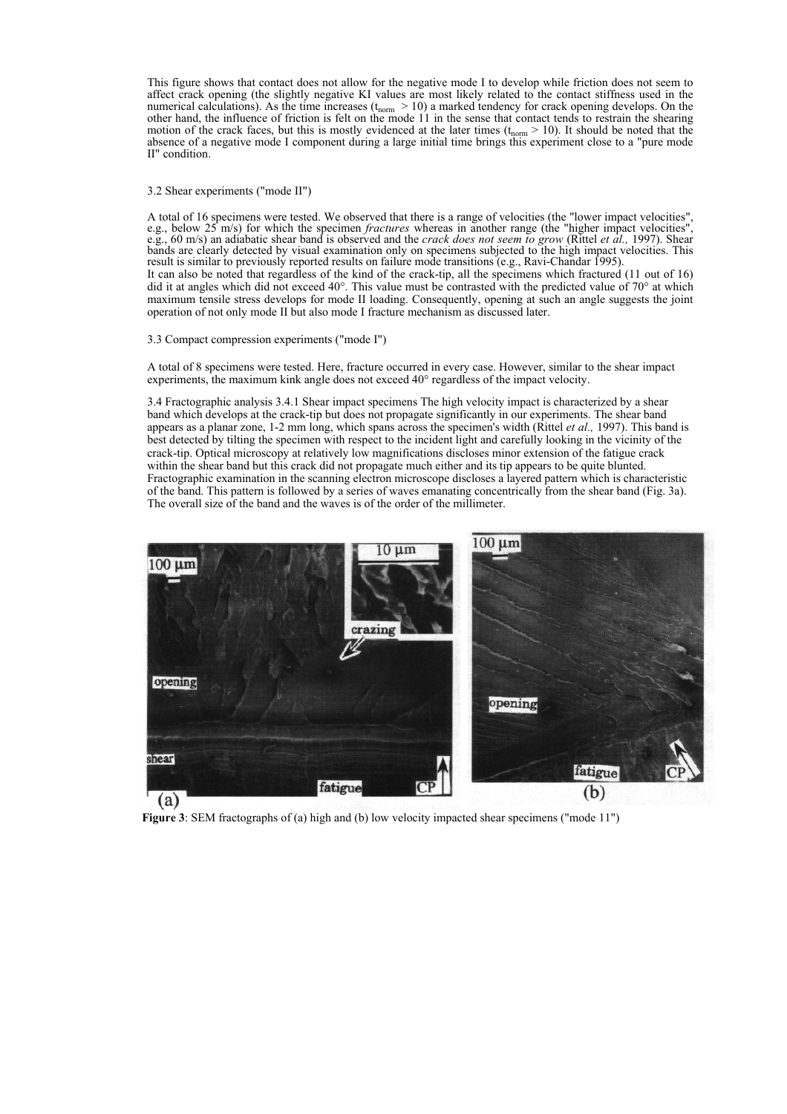This figure shows that contact does not allow for the negative mode I to develop while friction does not seem to affect crack opening (the slightly negative KI values are most likely related to the contact stiffness used in the numerical calculations). As the time increases  $(t_{\text{norm}} > 10)$  a marked tendency for crack opening develops. On the other hand, the influence of friction is felt on the mode 11 in the sense that contact tends to restrain the shearing motion of the crack faces, but this is mostly evidenced at the later times  $(t_{\text{norm}} > 10)$ . It should be noted that the absence of a negative mode I component during a large initial time brings this experiment close to a "pure mode II" condition.

## 3.2 Shear experiments ("mode II")

A total of 16 specimens were tested. We observed that there is a range of velocities (the "lower impact velocities", e.g., below 25 m/s) for which the specimen *fractures* whereas in another range (the "higher impact velocities", e.g., 60 m/s) an adiabatic shear band is observed and the *crack does not seem to grow* (Rittel *et al.,* 1997). Shear bands are clearly detected by visual examination only on specimens subjected to the high impact velocities. This result is similar to previously reported results on failure mode transitions (e.g., Ravi-Chandar 1995). It can also be noted that regardless of the kind of the crack-tip, all the specimens which fractured (11 out of 16) did it at angles which did not exceed 40°. This value must be contrasted with the predicted value of 70° at which maximum tensile stress develops for mode II loading. Consequently, opening at such an angle suggests the joint operation of not only mode II but also mode I fracture mechanism as discussed later.

## 3.3 Compact compression experiments ("mode I")

A total of 8 specimens were tested. Here, fracture occurred in every case. However, similar to the shear impact experiments, the maximum kink angle does not exceed 40° regardless of the impact velocity.

3.4 Fractographic analysis 3.4.1 Shear impact specimens The high velocity impact is characterized by a shear band which develops at the crack-tip but does not propagate significantly in our experiments. The shear band appears as a planar zone, 1-2 mm long, which spans across the specimen's width (Rittel *et al.,* 1997). This band is best detected by tilting the specimen with respect to the incident light and carefully looking in the vicinity of the crack-tip. Optical microscopy at relatively low magnifications discloses minor extension of the fatigue crack within the shear band but this crack did not propagate much either and its tip appears to be quite blunted. Fractographic examination in the scanning electron microscope discloses a layered pattern which is characteristic of the band. This pattern is followed by a series of waves emanating concentrically from the shear band (Fig. 3a). The overall size of the band and the waves is of the order of the millimeter.



**Figure 3**: SEM fractographs of (a) high and (b) low velocity impacted shear specimens ("mode 11")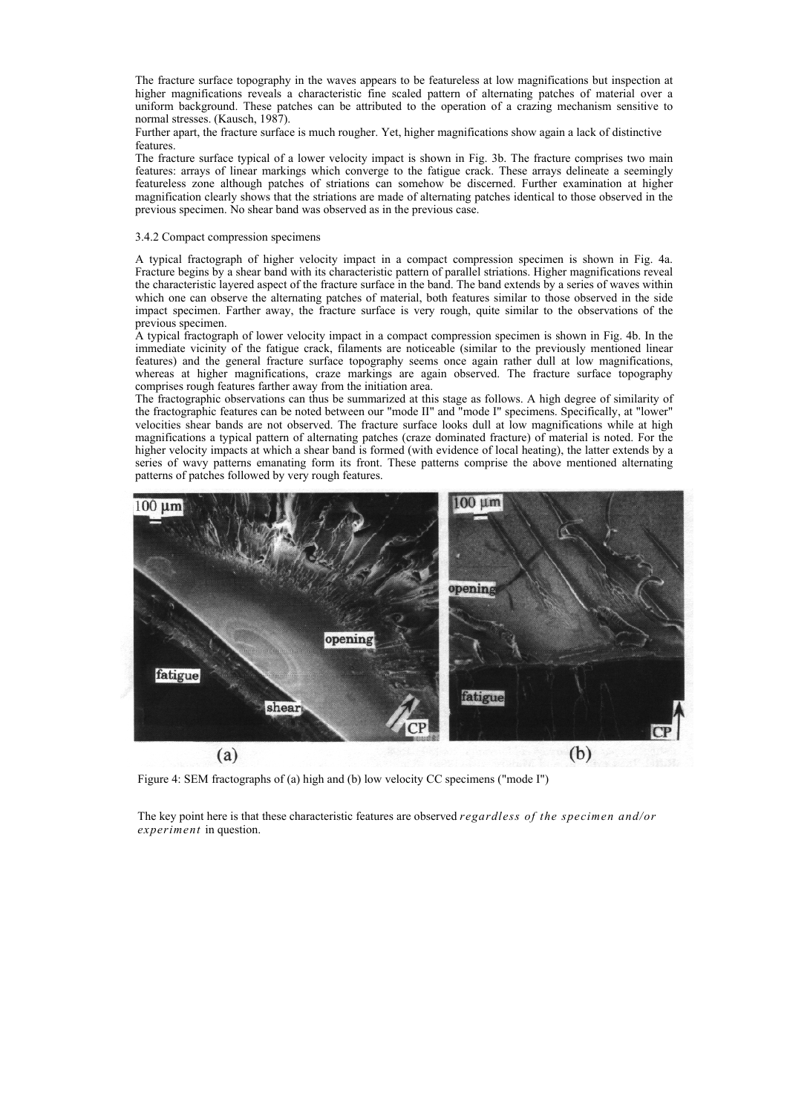The fracture surface topography in the waves appears to be featureless at low magnifications but inspection at higher magnifications reveals a characteristic fine scaled pattern of alternating patches of material over a uniform background. These patches can be attributed to the operation of a crazing mechanism sensitive to normal stresses. (Kausch, 1987).

Further apart, the fracture surface is much rougher. Yet, higher magnifications show again a lack of distinctive features.

The fracture surface typical of a lower velocity impact is shown in Fig. 3b. The fracture comprises two main features: arrays of linear markings which converge to the fatigue crack. These arrays delineate a seemingly featureless zone although patches of striations can somehow be discerned. Further examination at higher magnification clearly shows that the striations are made of alternating patches identical to those observed in the previous specimen. No shear band was observed as in the previous case.

## 3.4.2 Compact compression specimens

A typical fractograph of higher velocity impact in a compact compression specimen is shown in Fig. 4a. Fracture begins by a shear band with its characteristic pattern of parallel striations. Higher magnifications reveal the characteristic layered aspect of the fracture surface in the band. The band extends by a series of waves within which one can observe the alternating patches of material, both features similar to those observed in the side impact specimen. Farther away, the fracture surface is very rough, quite similar to the observations of the previous specimen.

A typical fractograph of lower velocity impact in a compact compression specimen is shown in Fig. 4b. In the immediate vicinity of the fatigue crack, filaments are noticeable (similar to the previously mentioned linear features) and the general fracture surface topography seems once again rather dull at low magnifications, whereas at higher magnifications, craze markings are again observed. The fracture surface topography comprises rough features farther away from the initiation area.

The fractographic observations can thus be summarized at this stage as follows. A high degree of similarity of the fractographic features can be noted between our "mode II" and "mode I" specimens. Specifically, at "lower" velocities shear bands are not observed. The fracture surface looks dull at low magnifications while at high magnifications a typical pattern of alternating patches (craze dominated fracture) of material is noted. For the higher velocity impacts at which a shear band is formed (with evidence of local heating), the latter extends by a series of wavy patterns emanating form its front. These patterns comprise the above mentioned alternating patterns of patches followed by very rough features.



Figure 4: SEM fractographs of (a) high and (b) low velocity CC specimens ("mode I")

The key point here is that these characteristic features are observed *regardless of the specimen and/or experiment* in question.